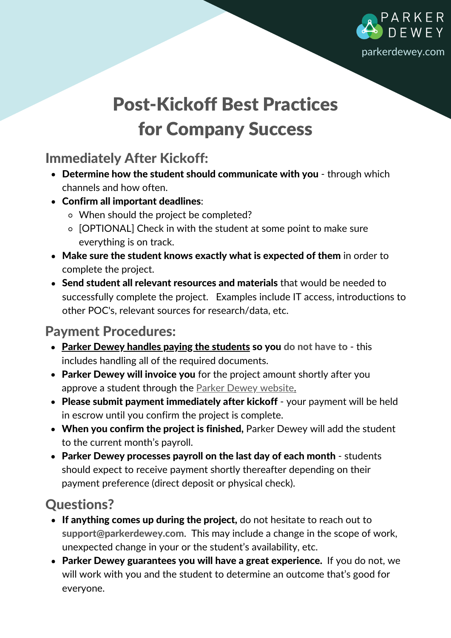

# Post-Kickoff Best Practices for Company Success

## Immediately After Kickoff:

- Determine how the student should communicate with you through which channels and how often.
- Confirm all important deadlines:
	- When should the project be completed?
	- o [OPTIONAL] Check in with the student at some point to make sure everything is on track.
- Make sure the student knows exactly what is expected of them in order to complete the project.
- Send student all relevant resources and materials that would be needed to successfully complete the project. Examples include IT access, introductions to other POC's, relevant sources for research/data, etc.

#### Payment Procedures:

- Parker Dewey handles paying the students so you do not have to this includes handling all of the required documents.
- Parker Dewey will invoice you for the project amount shortly after you approve a student through the Parker Dewey [website.](https://app.parkerdewey.com/auth/sign-in)
- Please submit payment immediately after kickoff your payment will be held in escrow until you confirm the project is complete.
- When you confirm the project is finished, Parker Dewey will add the student to the current month's payroll.
- Parker Dewey processes payroll on the last day of each month students should expect to receive payment shortly thereafter depending on their payment preference (direct deposit or physical check).

## Questions?

- If anything comes up during the project, do not hesitate to reach out to support@parkerdewey.com. This may include a change in the scope of work, unexpected change in your or the student's availability, etc.
- Parker Dewey guarantees you will have a great experience. If you do not, we will work with you and the student to determine an outcome that's good for everyone.